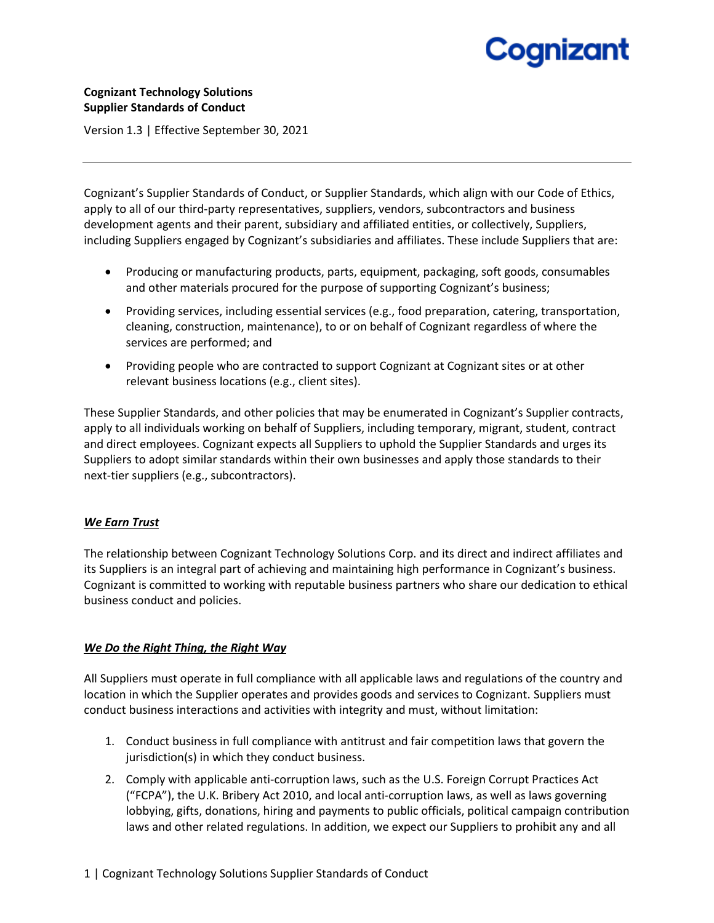## **Cognizant Technology Solutions Supplier Standards of Conduct**

Version 1.3 | Effective September 30, 2021

Cognizant's Supplier Standards of Conduct, or Supplier Standards, which align with our Code of Ethics, apply to all of our third-party representatives, suppliers, vendors, subcontractors and business development agents and their parent, subsidiary and affiliated entities, or collectively, Suppliers, including Suppliers engaged by Cognizant's subsidiaries and affiliates. These include Suppliers that are:

- Producing or manufacturing products, parts, equipment, packaging, soft goods, consumables and other materials procured for the purpose of supporting Cognizant's business;
- Providing services, including essential services (e.g., food preparation, catering, transportation, cleaning, construction, maintenance), to or on behalf of Cognizant regardless of where the services are performed; and
- Providing people who are contracted to support Cognizant at Cognizant sites or at other relevant business locations (e.g., client sites).

These Supplier Standards, and other policies that may be enumerated in Cognizant's Supplier contracts, apply to all individuals working on behalf of Suppliers, including temporary, migrant, student, contract and direct employees. Cognizant expects all Suppliers to uphold the Supplier Standards and urges its Suppliers to adopt similar standards within their own businesses and apply those standards to their next-tier suppliers (e.g., subcontractors).

## *We Earn Trust*

The relationship between Cognizant Technology Solutions Corp. and its direct and indirect affiliates and its Suppliers is an integral part of achieving and maintaining high performance in Cognizant's business. Cognizant is committed to working with reputable business partners who share our dedication to ethical business conduct and policies.

### *We Do the Right Thing, the Right Way*

All Suppliers must operate in full compliance with all applicable laws and regulations of the country and location in which the Supplier operates and provides goods and services to Cognizant. Suppliers must conduct business interactions and activities with integrity and must, without limitation:

- 1. Conduct business in full compliance with antitrust and fair competition laws that govern the jurisdiction(s) in which they conduct business.
- 2. Comply with applicable anti-corruption laws, such as the U.S. Foreign Corrupt Practices Act ("FCPA"), the U.K. Bribery Act 2010, and local anti-corruption laws, as well as laws governing lobbying, gifts, donations, hiring and payments to public officials, political campaign contribution laws and other related regulations. In addition, we expect our Suppliers to prohibit any and all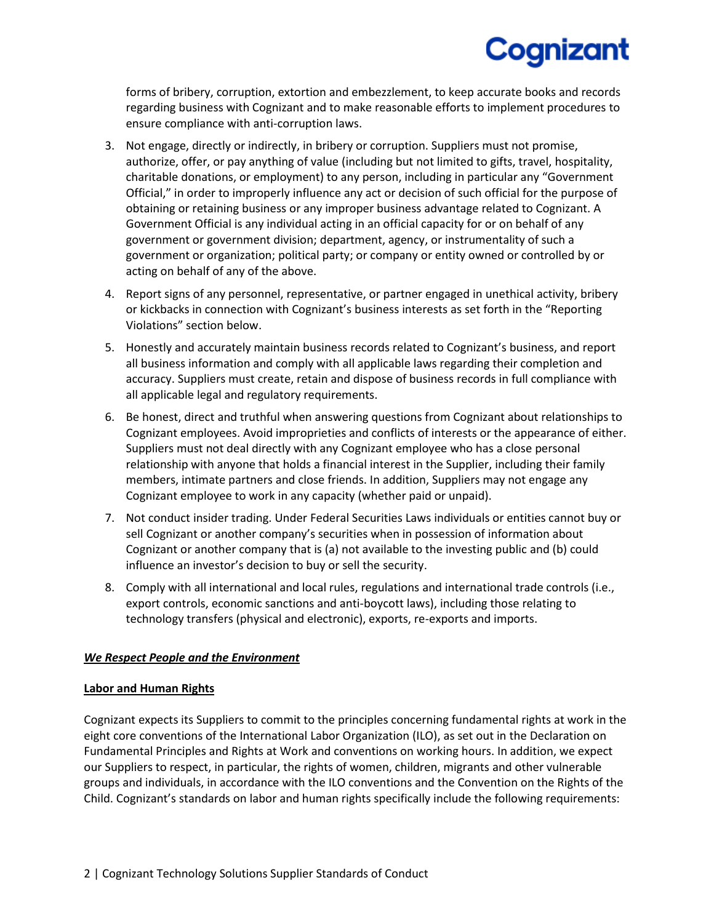forms of bribery, corruption, extortion and embezzlement, to keep accurate books and records regarding business with Cognizant and to make reasonable efforts to implement procedures to ensure compliance with anti-corruption laws.

- 3. Not engage, directly or indirectly, in bribery or corruption. Suppliers must not promise, authorize, offer, or pay anything of value (including but not limited to gifts, travel, hospitality, charitable donations, or employment) to any person, including in particular any "Government Official," in order to improperly influence any act or decision of such official for the purpose of obtaining or retaining business or any improper business advantage related to Cognizant. A Government Official is any individual acting in an official capacity for or on behalf of any government or government division; department, agency, or instrumentality of such a government or organization; political party; or company or entity owned or controlled by or acting on behalf of any of the above.
- 4. Report signs of any personnel, representative, or partner engaged in unethical activity, bribery or kickbacks in connection with Cognizant's business interests as set forth in the "Reporting Violations" section below.
- 5. Honestly and accurately maintain business records related to Cognizant's business, and report all business information and comply with all applicable laws regarding their completion and accuracy. Suppliers must create, retain and dispose of business records in full compliance with all applicable legal and regulatory requirements.
- 6. Be honest, direct and truthful when answering questions from Cognizant about relationships to Cognizant employees. Avoid improprieties and conflicts of interests or the appearance of either. Suppliers must not deal directly with any Cognizant employee who has a close personal relationship with anyone that holds a financial interest in the Supplier, including their family members, intimate partners and close friends. In addition, Suppliers may not engage any Cognizant employee to work in any capacity (whether paid or unpaid).
- 7. Not conduct insider trading. Under Federal Securities Laws individuals or entities cannot buy or sell Cognizant or another company's securities when in possession of information about Cognizant or another company that is (a) not available to the investing public and (b) could influence an investor's decision to buy or sell the security.
- 8. Comply with all international and local rules, regulations and international trade controls (i.e., export controls, economic sanctions and anti-boycott laws), including those relating to technology transfers (physical and electronic), exports, re-exports and imports.

## *We Respect People and the Environment*

### **Labor and Human Rights**

Cognizant expects its Suppliers to commit to the principles concerning fundamental rights at work in the eight core conventions of the International Labor Organization (ILO), as set out in the Declaration on Fundamental Principles and Rights at Work and conventions on working hours. In addition, we expect our Suppliers to respect, in particular, the rights of women, children, migrants and other vulnerable groups and individuals, in accordance with the ILO conventions and the Convention on the Rights of the Child. Cognizant's standards on labor and human rights specifically include the following requirements: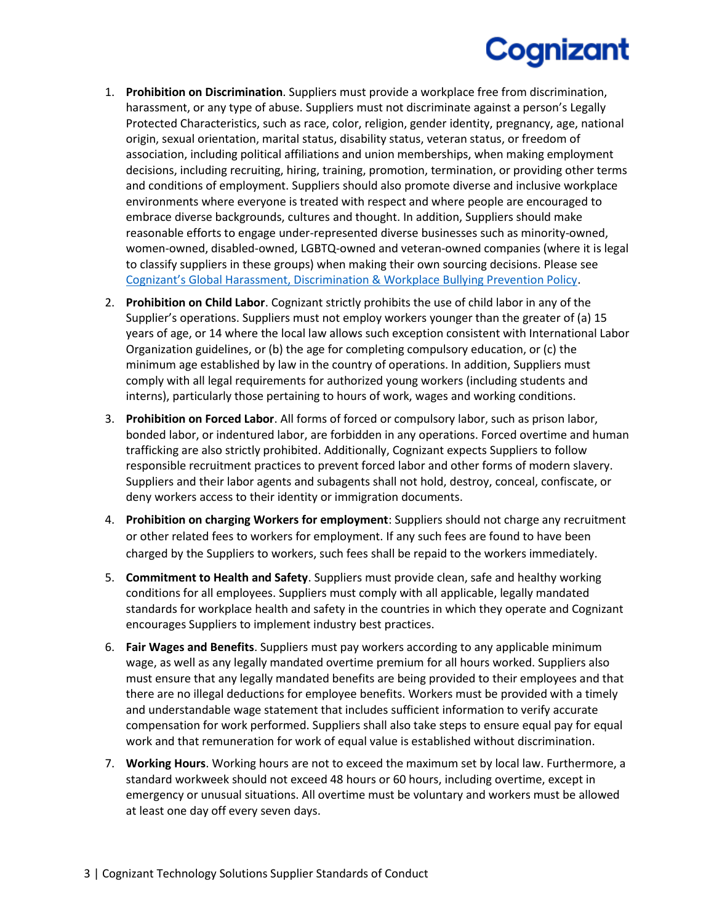- 1. **Prohibition on Discrimination**. Suppliers must provide a workplace free from discrimination, harassment, or any type of abuse. Suppliers must not discriminate against a person's Legally Protected Characteristics, such as race, color, religion, gender identity, pregnancy, age, national origin, sexual orientation, marital status, disability status, veteran status, or freedom of association, including political affiliations and union memberships, when making employment decisions, including recruiting, hiring, training, promotion, termination, or providing other terms and conditions of employment. Suppliers should also promote diverse and inclusive workplace environments where everyone is treated with respect and where people are encouraged to embrace diverse backgrounds, cultures and thought. In addition, Suppliers should make reasonable efforts to engage under-represented diverse businesses such as minority-owned, women-owned, disabled-owned, LGBTQ-owned and veteran-owned companies (where it is legal to classify suppliers in these groups) when making their own sourcing decisions. Please see [Cognizant's Global Harassment, Discrimination & Workplace Bullying Prevention Policy](https://www.cognizant.com/us/en/documents/global-harassment-discrimination-and-bullying-policy.pdf).
- 2. **Prohibition on Child Labor**. Cognizant strictly prohibits the use of child labor in any of the Supplier's operations. Suppliers must not employ workers younger than the greater of (a) 15 years of age, or 14 where the local law allows such exception consistent with International Labor Organization guidelines, or (b) the age for completing compulsory education, or (c) the minimum age established by law in the country of operations. In addition, Suppliers must comply with all legal requirements for authorized young workers (including students and interns), particularly those pertaining to hours of work, wages and working conditions.
- 3. **Prohibition on Forced Labor**. All forms of forced or compulsory labor, such as prison labor, bonded labor, or indentured labor, are forbidden in any operations. Forced overtime and human trafficking are also strictly prohibited. Additionally, Cognizant expects Suppliers to follow responsible recruitment practices to prevent forced labor and other forms of modern slavery. Suppliers and their labor agents and subagents shall not hold, destroy, conceal, confiscate, or deny workers access to their identity or immigration documents.
- 4. **Prohibition on charging Workers for employment**: Suppliers should not charge any recruitment or other related fees to workers for employment. If any such fees are found to have been charged by the Suppliers to workers, such fees shall be repaid to the workers immediately.
- 5. **Commitment to Health and Safety**. Suppliers must provide clean, safe and healthy working conditions for all employees. Suppliers must comply with all applicable, legally mandated standards for workplace health and safety in the countries in which they operate and Cognizant encourages Suppliers to implement industry best practices.
- 6. **Fair Wages and Benefits**. Suppliers must pay workers according to any applicable minimum wage, as well as any legally mandated overtime premium for all hours worked. Suppliers also must ensure that any legally mandated benefits are being provided to their employees and that there are no illegal deductions for employee benefits. Workers must be provided with a timely and understandable wage statement that includes sufficient information to verify accurate compensation for work performed. Suppliers shall also take steps to ensure equal pay for equal work and that remuneration for work of equal value is established without discrimination.
- 7. **Working Hours**. Working hours are not to exceed the maximum set by local law. Furthermore, a standard workweek should not exceed 48 hours or 60 hours, including overtime, except in emergency or unusual situations. All overtime must be voluntary and workers must be allowed at least one day off every seven days.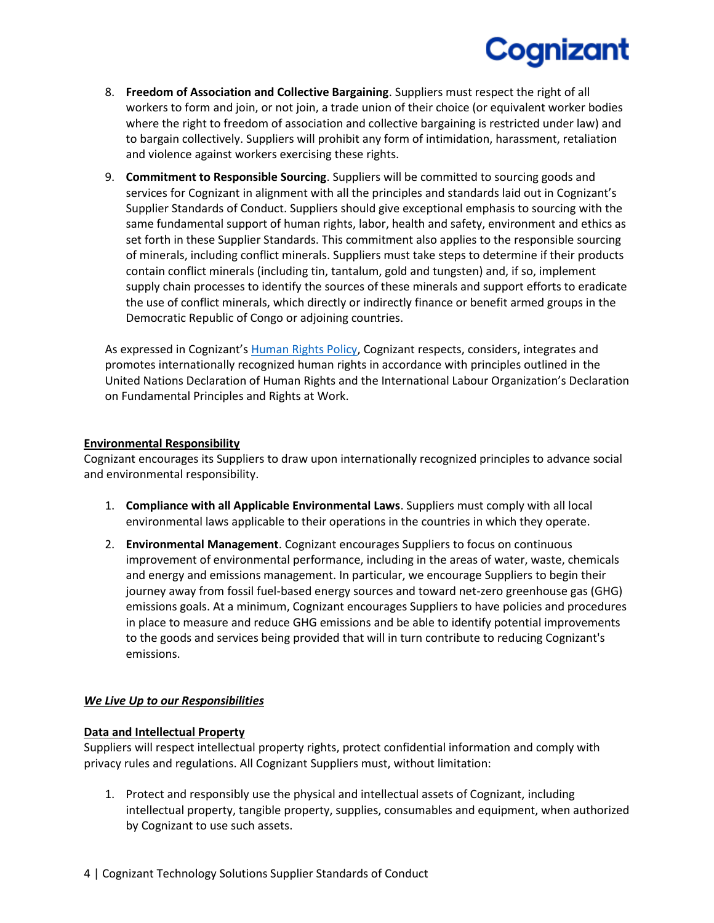- 8. **Freedom of Association and Collective Bargaining**. Suppliers must respect the right of all workers to form and join, or not join, a trade union of their choice (or equivalent worker bodies where the right to freedom of association and collective bargaining is restricted under law) and to bargain collectively. Suppliers will prohibit any form of intimidation, harassment, retaliation and violence against workers exercising these rights.
- 9. **Commitment to Responsible Sourcing**. Suppliers will be committed to sourcing goods and services for Cognizant in alignment with all the principles and standards laid out in Cognizant's Supplier Standards of Conduct. Suppliers should give exceptional emphasis to sourcing with the same fundamental support of human rights, labor, health and safety, environment and ethics as set forth in these Supplier Standards. This commitment also applies to the responsible sourcing of minerals, including conflict minerals. Suppliers must take steps to determine if their products contain conflict minerals (including tin, tantalum, gold and tungsten) and, if so, implement supply chain processes to identify the sources of these minerals and support efforts to eradicate the use of conflict minerals, which directly or indirectly finance or benefit armed groups in the Democratic Republic of Congo or adjoining countries.

As expressed in Cognizant's [Human Rights Policy,](https://www.cognizant.com/Resources/human-rights-policy.pdf) Cognizant respects, considers, integrates and promotes internationally recognized human rights in accordance with principles outlined in the United Nations Declaration of Human Rights and the International Labour Organization's Declaration on Fundamental Principles and Rights at Work.

### **Environmental Responsibility**

Cognizant encourages its Suppliers to draw upon internationally recognized principles to advance social and environmental responsibility.

- 1. **Compliance with all Applicable Environmental Laws**. Suppliers must comply with all local environmental laws applicable to their operations in the countries in which they operate.
- 2. **Environmental Management**. Cognizant encourages Suppliers to focus on continuous improvement of environmental performance, including in the areas of water, waste, chemicals and energy and emissions management. In particular, we encourage Suppliers to begin their journey away from fossil fuel-based energy sources and toward net-zero greenhouse gas (GHG) emissions goals. At a minimum, Cognizant encourages Suppliers to have policies and procedures in place to measure and reduce GHG emissions and be able to identify potential improvements to the goods and services being provided that will in turn contribute to reducing Cognizant's emissions.

## *We Live Up to our Responsibilities*

### **Data and Intellectual Property**

Suppliers will respect intellectual property rights, protect confidential information and comply with privacy rules and regulations. All Cognizant Suppliers must, without limitation:

1. Protect and responsibly use the physical and intellectual assets of Cognizant, including intellectual property, tangible property, supplies, consumables and equipment, when authorized by Cognizant to use such assets.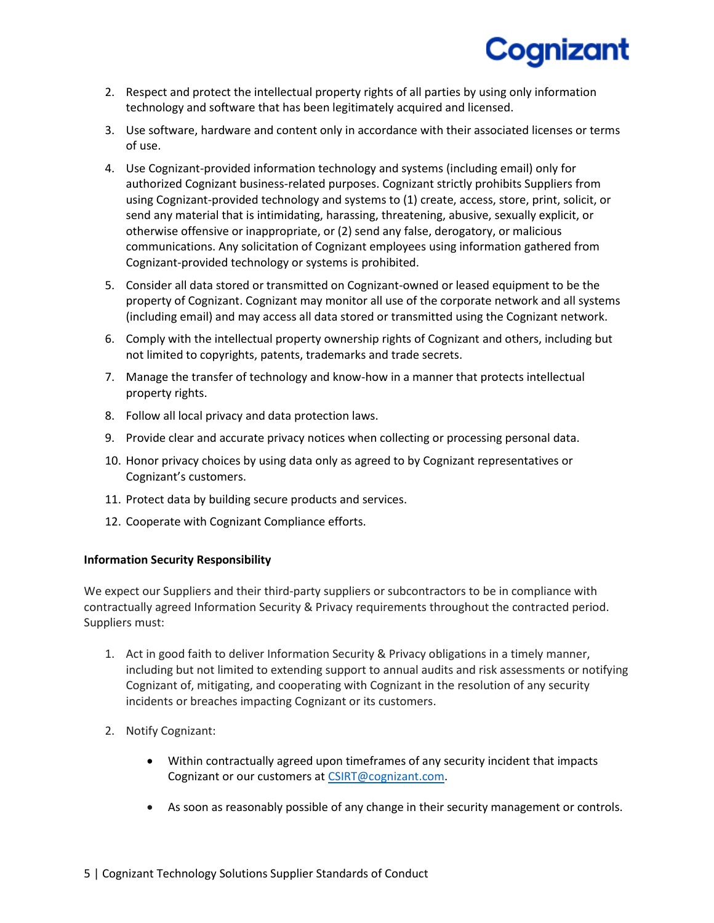- 2. Respect and protect the intellectual property rights of all parties by using only information technology and software that has been legitimately acquired and licensed.
- 3. Use software, hardware and content only in accordance with their associated licenses or terms of use.
- 4. Use Cognizant-provided information technology and systems (including email) only for authorized Cognizant business-related purposes. Cognizant strictly prohibits Suppliers from using Cognizant-provided technology and systems to (1) create, access, store, print, solicit, or send any material that is intimidating, harassing, threatening, abusive, sexually explicit, or otherwise offensive or inappropriate, or (2) send any false, derogatory, or malicious communications. Any solicitation of Cognizant employees using information gathered from Cognizant-provided technology or systems is prohibited.
- 5. Consider all data stored or transmitted on Cognizant-owned or leased equipment to be the property of Cognizant. Cognizant may monitor all use of the corporate network and all systems (including email) and may access all data stored or transmitted using the Cognizant network.
- 6. Comply with the intellectual property ownership rights of Cognizant and others, including but not limited to copyrights, patents, trademarks and trade secrets.
- 7. Manage the transfer of technology and know-how in a manner that protects intellectual property rights.
- 8. Follow all local privacy and data protection laws.
- 9. Provide clear and accurate privacy notices when collecting or processing personal data.
- 10. Honor privacy choices by using data only as agreed to by Cognizant representatives or Cognizant's customers.
- 11. Protect data by building secure products and services.
- 12. Cooperate with Cognizant Compliance efforts.

### **Information Security Responsibility**

We expect our Suppliers and their third-party suppliers or subcontractors to be in compliance with contractually agreed Information Security & Privacy requirements throughout the contracted period. Suppliers must:

- 1. Act in good faith to deliver Information Security & Privacy obligations in a timely manner, including but not limited to extending support to annual audits and risk assessments or notifying Cognizant of, mitigating, and cooperating with Cognizant in the resolution of any security incidents or breaches impacting Cognizant or its customers.
- 2. Notify Cognizant:
	- Within contractually agreed upon timeframes of any security incident that impacts Cognizant or our customers at [CSIRT@cognizant.com.](mailto:CSIRT@cognizant.com)
	- As soon as reasonably possible of any change in their security management or controls.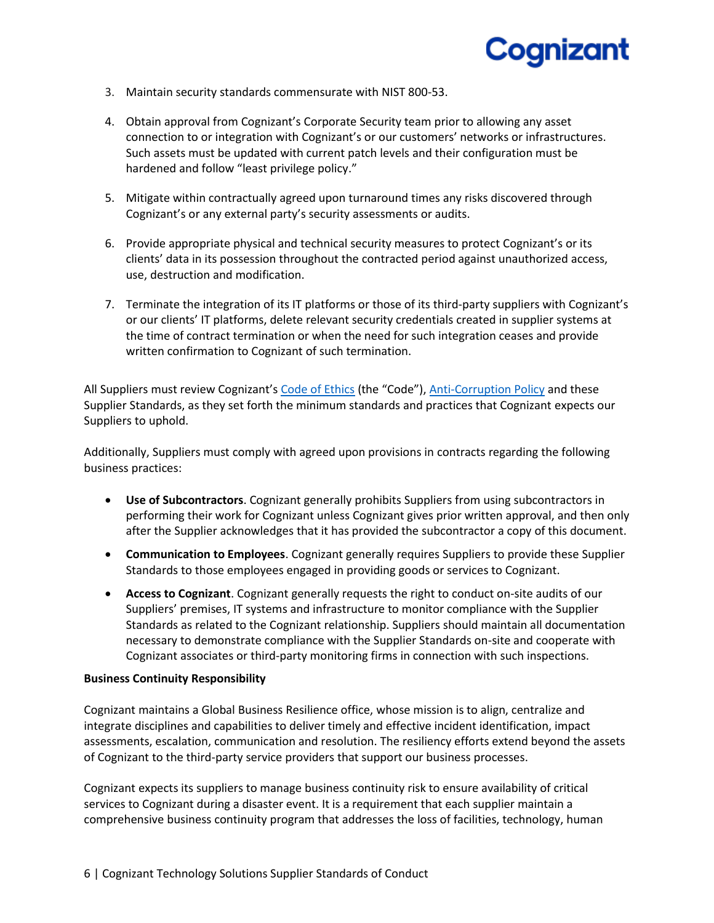- 3. Maintain security standards commensurate with NIST 800-53.
- 4. Obtain approval from Cognizant's Corporate Security team prior to allowing any asset connection to or integration with Cognizant's or our customers' networks or infrastructures. Such assets must be updated with current patch levels and their configuration must be hardened and follow "least privilege policy."
- 5. Mitigate within contractually agreed upon turnaround times any risks discovered through Cognizant's or any external party's security assessments or audits.
- 6. Provide appropriate physical and technical security measures to protect Cognizant's or its clients' data in its possession throughout the contracted period against unauthorized access, use, destruction and modification.
- 7. Terminate the integration of its IT platforms or those of its third-party suppliers with Cognizant's or our clients' IT platforms, delete relevant security credentials created in supplier systems at the time of contract termination or when the need for such integration ceases and provide written confirmation to Cognizant of such termination.

All Suppliers must review Cognizant's [Code of Ethics](https://www.cognizant.com/codeofethics.pdf) (the "Code"), [Anti-Corruption Policy](https://www.cognizant.com/about-cognizant-resources/anti-corruption-policy.pdf) and these Supplier Standards, as they set forth the minimum standards and practices that Cognizant expects our Suppliers to uphold.

Additionally, Suppliers must comply with agreed upon provisions in contracts regarding the following business practices:

- **Use of Subcontractors**. Cognizant generally prohibits Suppliers from using subcontractors in performing their work for Cognizant unless Cognizant gives prior written approval, and then only after the Supplier acknowledges that it has provided the subcontractor a copy of this document.
- **Communication to Employees**. Cognizant generally requires Suppliers to provide these Supplier Standards to those employees engaged in providing goods or services to Cognizant.
- **Access to Cognizant**. Cognizant generally requests the right to conduct on-site audits of our Suppliers' premises, IT systems and infrastructure to monitor compliance with the Supplier Standards as related to the Cognizant relationship. Suppliers should maintain all documentation necessary to demonstrate compliance with the Supplier Standards on-site and cooperate with Cognizant associates or third-party monitoring firms in connection with such inspections.

#### **Business Continuity Responsibility**

Cognizant maintains a Global Business Resilience office, whose mission is to align, centralize and integrate disciplines and capabilities to deliver timely and effective incident identification, impact assessments, escalation, communication and resolution. The resiliency efforts extend beyond the assets of Cognizant to the third-party service providers that support our business processes.

Cognizant expects its suppliers to manage business continuity risk to ensure availability of critical services to Cognizant during a disaster event. It is a requirement that each supplier maintain a comprehensive business continuity program that addresses the loss of facilities, technology, human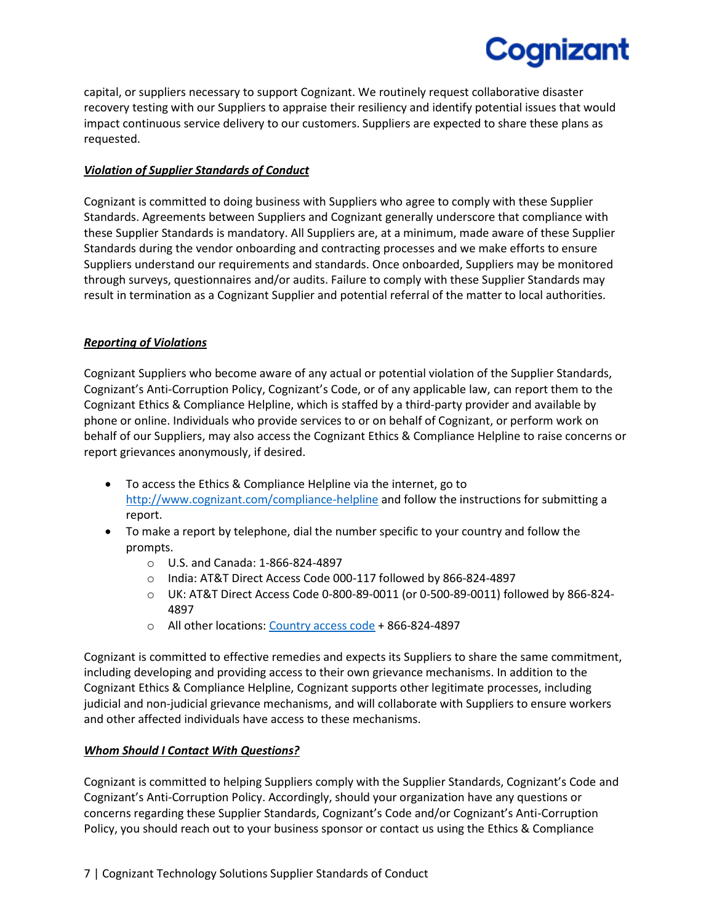capital, or suppliers necessary to support Cognizant. We routinely request collaborative disaster recovery testing with our Suppliers to appraise their resiliency and identify potential issues that would impact continuous service delivery to our customers. Suppliers are expected to share these plans as requested.

Cognizant

## *Violation of Supplier Standards of Conduct*

Cognizant is committed to doing business with Suppliers who agree to comply with these Supplier Standards. Agreements between Suppliers and Cognizant generally underscore that compliance with these Supplier Standards is mandatory. All Suppliers are, at a minimum, made aware of these Supplier Standards during the vendor onboarding and contracting processes and we make efforts to ensure Suppliers understand our requirements and standards. Once onboarded, Suppliers may be monitored through surveys, questionnaires and/or audits. Failure to comply with these Supplier Standards may result in termination as a Cognizant Supplier and potential referral of the matter to local authorities.

### *Reporting of Violations*

Cognizant Suppliers who become aware of any actual or potential violation of the Supplier Standards, Cognizant's Anti-Corruption Policy, Cognizant's Code, or of any applicable law, can report them to the Cognizant Ethics & Compliance Helpline, which is staffed by a third-party provider and available by phone or online. Individuals who provide services to or on behalf of Cognizant, or perform work on behalf of our Suppliers, may also access the Cognizant Ethics & Compliance Helpline to raise concerns or report grievances anonymously, if desired.

- To access the Ethics & Compliance Helpline via the internet, go to <http://www.cognizant.com/compliance-helpline> and follow the instructions for submitting a report.
- To make a report by telephone, dial the number specific to your country and follow the prompts.
	- o U.S. and Canada: 1-866-824-4897
	- o India: AT&T Direct Access Code 000-117 followed by 866-824-4897
	- o UK: AT&T Direct Access Code 0-800-89-0011 (or 0-500-89-0011) followed by 866-824- 4897
	- o All other locations[: Country access code](https://www.business.att.com/collateral/access.html) + 866-824-4897

Cognizant is committed to effective remedies and expects its Suppliers to share the same commitment, including developing and providing access to their own grievance mechanisms. In addition to the Cognizant Ethics & Compliance Helpline, Cognizant supports other legitimate processes, including judicial and non-judicial grievance mechanisms, and will collaborate with Suppliers to ensure workers and other affected individuals have access to these mechanisms.

### *Whom Should I Contact With Questions?*

Cognizant is committed to helping Suppliers comply with the Supplier Standards, Cognizant's Code and Cognizant's Anti-Corruption Policy. Accordingly, should your organization have any questions or concerns regarding these Supplier Standards, Cognizant's Code and/or Cognizant's Anti-Corruption Policy, you should reach out to your business sponsor or contact us using the Ethics & Compliance